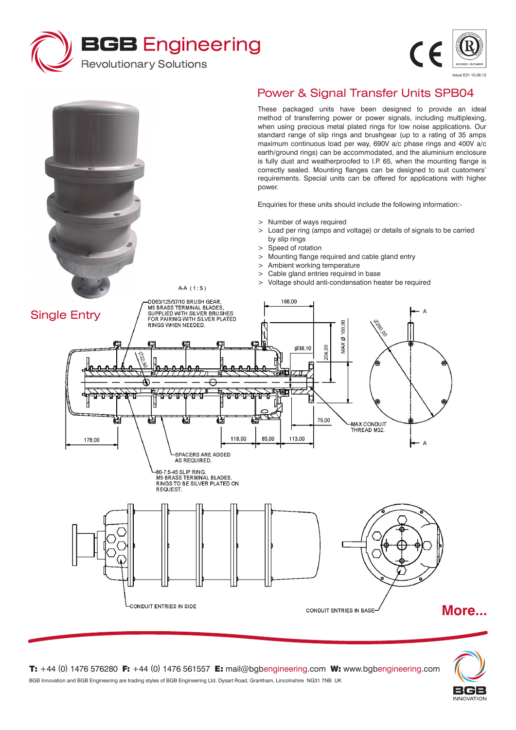



Issue E31 15.06.12

These packaged units have been designed to provide an ideal method of transferring power or power signals, including multiplexing, when using precious metal plated rings for low noise applications. Our standard range of slip rings and brushgear (up to a rating of 35 amps maximum continuous load per way, 690V a/c phase rings and 400V a/c earth/ground rings) can be accommodated, and the aluminium enclosure is fully dust and weatherproofed to I.P. 65, when the mounting flange is correctly sealed. Mounting flanges can be designed to suit customers' requirements. Special units can be offered for applications with higher power.

Enquiries for these units should include the following information:-

- > Number of ways required
- > Load per ring (amps and voltage) or details of signals to be carried by slip rings
- > Speed of rotation
- > Mounting flange required and cable gland entry
- > Ambient working temperature
- > Cable gland entries required in base
- > Voltage should anti-condensation heater be required





**T:** +44 (0) 1476 576280 **F:** +44 (0) 1476 561557 **E:** mail@bgbengineering.com **W:** www.bgbengineering.com BGB Innovation and BGB Engineering are trading styles of BGB Engineering Ltd. Dysart Road, Grantham, Lincolnshire NG31 7NB UK